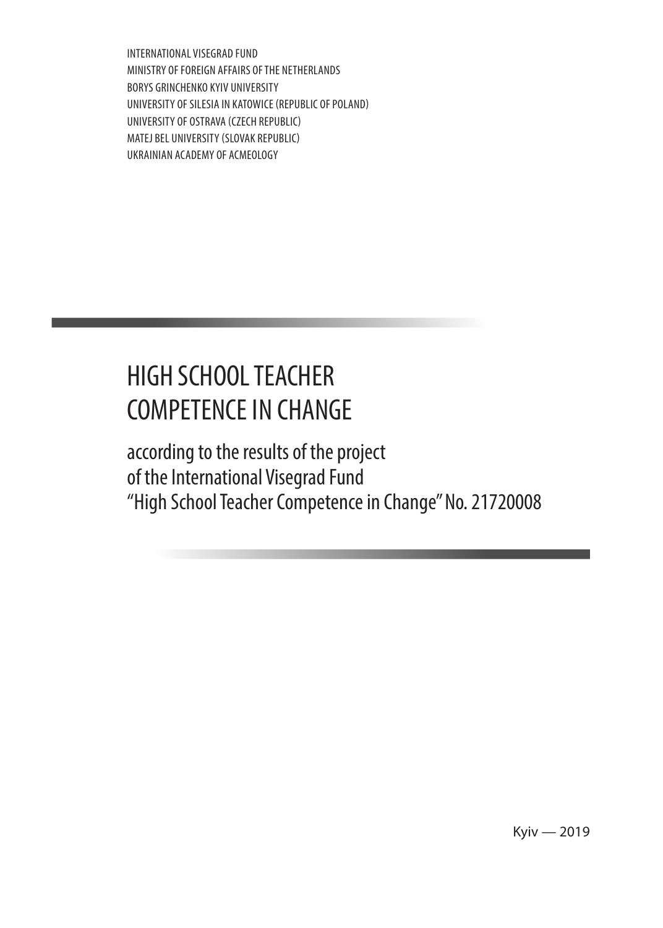INTERNATIONAL VISEGRAD FUND MINISTRY OF FOREIGN AFFAIRS OF THE NETHERLANDS BORYS GRINCHENKO KYIV UNIVERSITY UNIVERSITY OF SILESIA IN KATOWICE (REPUBLIC OF POLAND) UNIVERSITY OF OSTRAVA (CZECH REPUBLIC) MATEJ BEL UNIVERSITY (SLOVAK REPUBLIC) UKRAINIAN ACADEMY OF ACMEOLOGY

# HIGH SCHOOL TEACHER COMPETENCE IN CHANGE

according to the results of the project of the International Visegrad Fund "High School Teacher Competence in Change" No. 21720008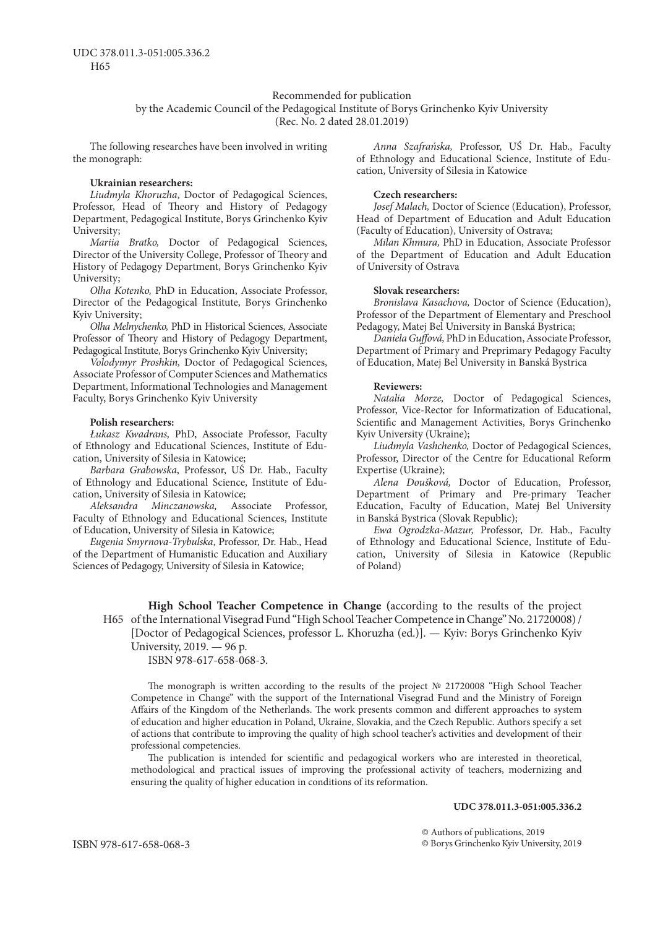#### Recommended for publication

by the Academic Council of the Pedagogical Institute of Borys Grinchenko Kyiv University (Rec. No. 2 dated 28.01.2019)

The following researches have been involved in writing the monograph:

#### **Ukrainian researchers:**

*Liudmyla Khoruzha*, Doctor of Pedagogical Sciences, Professor, Head of Theory and History of Pedagogy Department, Pedagogical Institute, Borys Grinchenko Kyiv University;

*Mariia Bratko,* Doctor of Pedagogical Sciences, Director of the University College, Professor of Theory and History of Pedagogy Department, Borys Grinchenko Kyiv University;

*Olha Kotenko,* PhD in Education, Associate Professor, Director of the Pedagogical Institute, Borys Grinchenko Kyiv University;

*Olha Melnychenko,* PhD in Historical Sciences, Associate Professor of Theory and History of Pedagogy Department, Pedagogical Institute, Borys Grinchenko Kyiv University;

*Volodymyr Proshkin,* Doctor of Pedagogical Sciences, Associate Professor of Computer Sciences and Mathematics Department, Informational Technologies and Management Faculty, Borys Grinchenko Kyiv University

#### **Polish researchers:**

*Łukasz Kwadrans,* PhD, Associate Professor, Faculty of Ethnology and Educational Sciences, Institute of Education, University of Silesia in Katowice;

*Barbara Grabowska*, Professor, UŚ Dr. Hab., Faculty of Ethnology and Educational Science, Institute of Education, University of Silesia in Katowice;

*Aleksandra Minczanowska,* Associate Professor, Faculty of Ethnology and Educational Sciences, Institute of Education, University of Silesia in Katowice;

*Eugenia Smyrnova-Trybulska*, Professor, Dr. Hab., Head of the Department of Humanistic Education and Auxiliary Sciences of Pedagogy, University of Silesia in Katowice;

*Anna Szafrańska,* Professor, UŚ Dr. Hab., Faculty of Ethnology and Educational Science, Institute of Education, University of Silesia in Katowice

#### **Czech researchers:**

*Josef Malach,* Doctor of Science (Education), Professor, Head of Department of Education and Adult Education (Faculty of Education), University of Ostrava;

*Milan Khmura,* PhD in Education, Associate Professor of the Department of Education and Adult Education of University of Ostrava

#### **Slovak researchers:**

*Bronislava Kasachova,* Doctor of Science (Education), Professor of the Department of Elementary and Preschool Pedagogy, Matej Bel University in Banská Bystrica;

*Daniela Guffová,* PhD in Education, Associate Professor, Department of Primary and Preprimary Pedagogy Faculty of Education, Matej Bel University in Banská Bystrica

#### **Reviewers:**

*Natalia Morze,* Doctor of Pedagogical Sciences, Professor, Vice-Rector for Informatization of Educational, Scientific and Management Activities, Borys Grinchenko Kyiv University (Ukraine);

*Liudmyla Vashchenko,* Doctor of Pedagogical Sciences, Professor, Director of the Centre for Educational Reform Expertise (Ukraine);

*Alena Doušková,* Doctor of Education, Professor, Department of Primary and Pre-primary Teacher Education, Faculty of Education, Matej Bel University in Banská Bystrica (Slovak Republic);

*Ewa Ogrodzka-Mazur,* Professor, Dr. Hab., Faculty of Ethnology and Educational Science, Institute of Education, University of Silesia in Katowice (Republic of Poland)

**High School Teacher Competence in Change (**according to the results of the project H65 of the International Visegrad Fund "High School Teacher Competence in Change" No. 21720008) / [Doctor of Pedagogical Sciences, professor L. Khoruzha (ed.)]. — Kyiv: Borys Grinchenko Kyiv University, 2019. — 96 p.

ISBN 978-617-658-068-3.

The monograph is written according to the results of the project № 21720008 "High School Teacher Competence in Change" with the support of the International Visegrad Fund and the Ministry of Foreign Affairs of the Kingdom of the Netherlands. The work presents common and different approaches to system of education and higher education in Poland, Ukraine, Slovakia, and the Czech Republic. Authors specify a set of actions that contribute to improving the quality of high school teacher's activities and development of their professional competencies.

The publication is intended for scientific and pedagogical workers who are interested in theoretical, methodological and practical issues of improving the professional activity of teachers, modernizing and ensuring the quality of higher education in conditions of its reformation.

#### **UDC 378.011.3-051:005.336.2**

© Authors of publications, 2019 © Borys Grinchenko Kyiv University, 2019

ISBN 978-617-658-068-3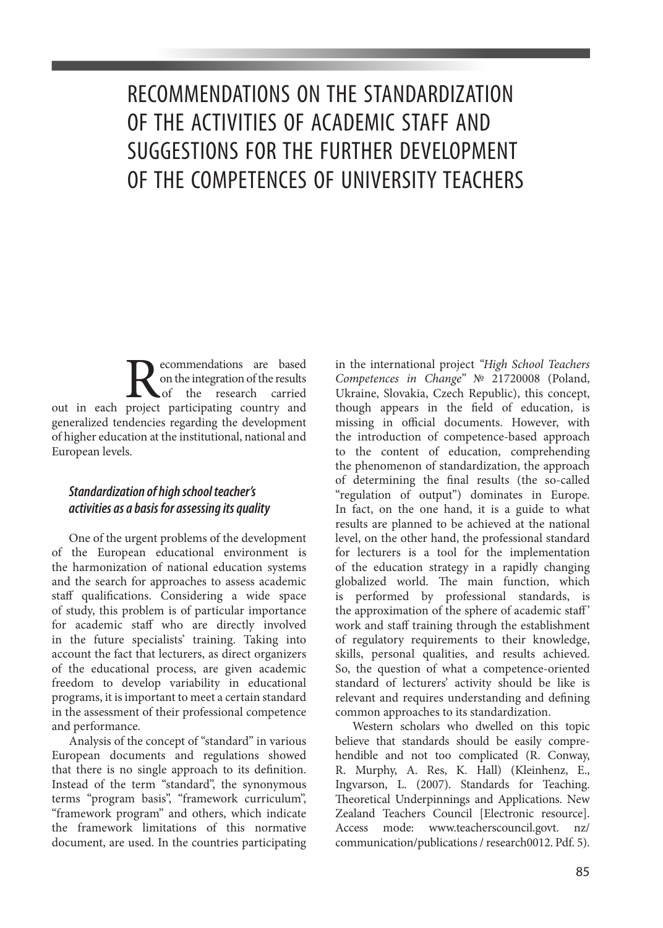# RECOMMENDATIONS ON THE STANDARDIZATION OF THE ACTIVITIES OF ACADEMIC STAFF AND SUGGESTIONS FOR THE FURTHER DEVELOPMENT OF THE COMPETENCES OF UNIVERSITY TEACHERS

Recommendations are based<br>on the integration of the results<br>project participating country and on the integration of the results the research carried out in each project participating country and generalized tendencies regarding the development of higher education at the institutional, national and European levels.

## *Standardization of high school teacher's activities as a basis for assessing its quality*

One of the urgent problems of the development of the European educational environment is the harmonization of national education systems and the search for approaches to assess academic staff qualifications. Considering a wide space of study, this problem is of particular importance for academic staff who are directly involved in the future specialists' training. Taking into account the fact that lecturers, as direct organizers of the educational process, are given academic freedom to develop variability in educational programs, it is important to meet a certain standard in the assessment of their professional competence and performance.

Analysis of the concept of "standard" in various European documents and regulations showed that there is no single approach to its definition. Instead of the term "standard", the synonymous terms "program basis", "framework curriculum", "framework program" and others, which indicate the framework limitations of this normative document, are used. In the countries participating

in the international project *"High School Teachers Competences in Change"* № 21720008 (Poland, Ukraine, Slovakia, Czech Republic), this concept, though appears in the field of education, is missing in official documents. However, with the introduction of competence-based approach to the content of education, comprehending the phenomenon of standardization, the approach of determining the final results (the so-called "regulation of output") dominates in Europe. In fact, on the one hand, it is a guide to what results are planned to be achieved at the national level, on the other hand, the professional standard for lecturers is a tool for the implementation of the education strategy in a rapidly changing globalized world. The main function, which is performed by professional standards, is the approximation of the sphere of academic staff' work and staff training through the establishment of regulatory requirements to their knowledge, skills, personal qualities, and results achieved. So, the question of what a competence-oriented standard of lecturers' activity should be like is relevant and requires understanding and defining common approaches to its standardization.

Western scholars who dwelled on this topic believe that standards should be easily comprehendible and not too complicated (R. Conway, R. Murphy, A. Res, K. Hall) (Kleinhenz, E., Ingvarson, L. (2007). Standards for Teaching. Theoretical Underpinnings and Applications. New Zealand Teachers Council [Electronic resource]. Access mode: www.teacherscouncil.govt. nz/ communication/publications / research0012. Pdf. 5).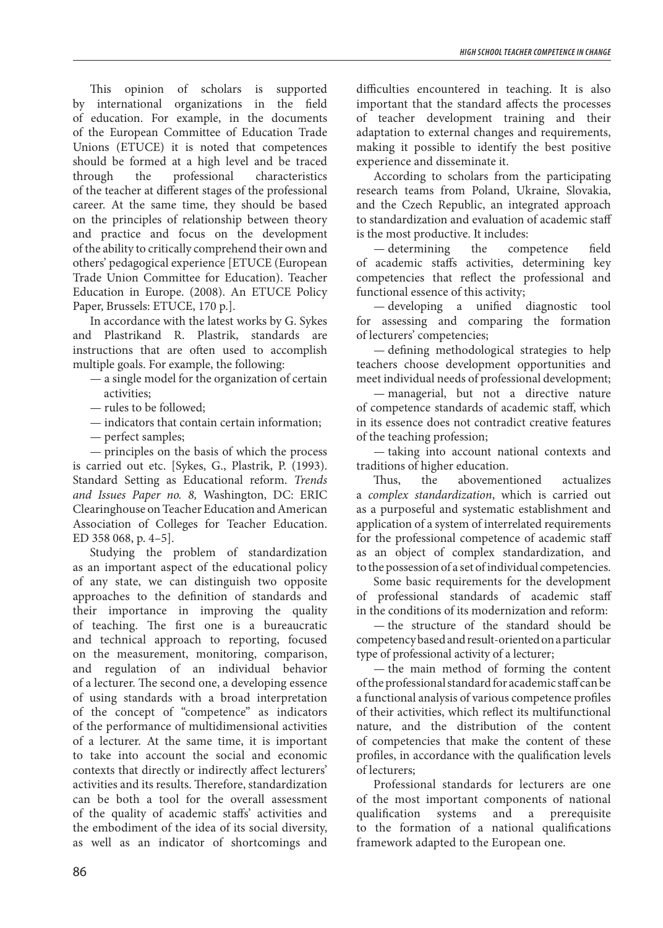This opinion of scholars is supported by international organizations in the field of education. For example, in the documents of the European Committee of Education Trade Unions (ETUCE) it is noted that competences should be formed at a high level and be traced through the professional characteristics of the teacher at different stages of the professional career. At the same time, they should be based on the principles of relationship between theory and practice and focus on the development of the ability to critically comprehend their own and others' pedagogical experience [ETUCE (European Trade Union Committee for Education). Teacher Education in Europe. (2008). An ETUCE Policy Paper, Brussels: ETUCE, 170 p.].

In accordance with the latest works by G. Sykes and Plastrikand R. Plastrik, standards are instructions that are often used to accomplish multiple goals. For example, the following:

— a single model for the organization of certain activities;

— rules to be followed;

— indicators that contain certain information;

— perfect samples;

— principles on the basis of which the process is carried out etc. [Sykes, G., Plastrik, P. (1993). Standard Setting as Educational reform. *Trends and Issues Paper no. 8,* Washington, DC: ERIC Clearinghouse on Teacher Education and American Association of Colleges for Teacher Education. ED 358 068, p. 4–5].

Studying the problem of standardization as an important aspect of the educational policy of any state, we can distinguish two opposite approaches to the definition of standards and their importance in improving the quality of teaching. The first one is a bureaucratic and technical approach to reporting, focused on the measurement, monitoring, comparison, and regulation of an individual behavior of a lecturer. The second one, a developing essence of using standards with a broad interpretation of the concept of "competence" as indicators of the performance of multidimensional activities of a lecturer. At the same time, it is important to take into account the social and economic contexts that directly or indirectly affect lecturers' activities and its results. Therefore, standardization can be both a tool for the overall assessment of the quality of academic staffs' activities and the embodiment of the idea of its social diversity, as well as an indicator of shortcomings and

difficulties encountered in teaching. It is also important that the standard affects the processes of teacher development training and their adaptation to external changes and requirements, making it possible to identify the best positive experience and disseminate it.

According to scholars from the participating research teams from Poland, Ukraine, Slovakia, and the Czech Republic, an integrated approach to standardization and evaluation of academic staff

is the most productive. It includes:<br>
— determining the competence — determining the competence field of academic staffs activities, determining key competencies that reflect the professional and functional essence of this activity;

— developing a unified diagnostic tool for assessing and comparing the formation of lecturers' competencies;

— defining methodological strategies to help teachers choose development opportunities and meet individual needs of professional development;

— managerial, but not a directive nature of competence standards of academic staff, which in its essence does not contradict creative features of the teaching profession;

— taking into account national contexts and traditions of higher education.

Thus, the abovementioned actualizes a *complex standardization*, which is carried out as a purposeful and systematic establishment and application of a system of interrelated requirements for the professional competence of academic staff as an object of complex standardization, and to the possession of a set of individual competencies.

Some basic requirements for the development of professional standards of academic staff in the conditions of its modernization and reform:

— the structure of the standard should be competency based and result-oriented on a particular type of professional activity of a lecturer;

— the main method of forming the content of the professional standard for academic staff can be a functional analysis of various competence profiles of their activities, which reflect its multifunctional nature, and the distribution of the content of competencies that make the content of these profiles, in accordance with the qualification levels of lecturers;

Professional standards for lecturers are one of the most important components of national qualification systems and a prerequisite to the formation of a national qualifications framework adapted to the European one.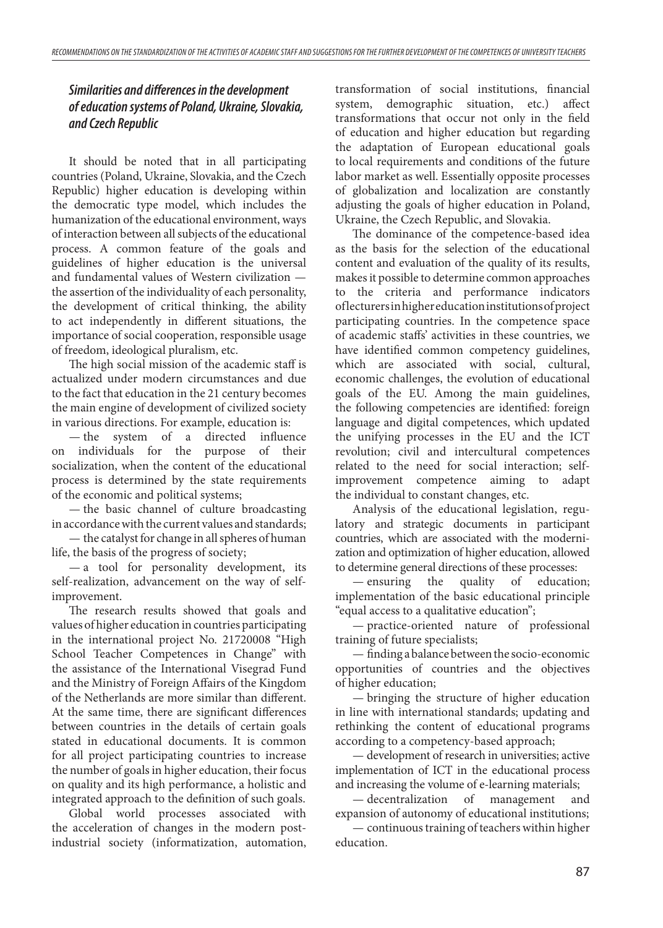# *Similarities and differences in the development of education systems of Poland, Ukraine, Slovakia, and Czech Republic*

It should be noted that in all participating countries (Poland, Ukraine, Slovakia, and the Czech Republic) higher education is developing within the democratic type model, which includes the humanization of the educational environment, ways of interaction between all subjects of the educational process. A common feature of the goals and guidelines of higher education is the universal and fundamental values of Western civilization the assertion of the individuality of each personality, the development of critical thinking, the ability to act independently in different situations, the importance of social cooperation, responsible usage of freedom, ideological pluralism, etc.

The high social mission of the academic staff is actualized under modern circumstances and due to the fact that education in the 21 century becomes the main engine of development of civilized society in various directions. For example, education is:

— the system of a directed influence on individuals for the purpose of their socialization, when the content of the educational process is determined by the state requirements of the economic and political systems;

— the basic channel of culture broadcasting in accordance with the current values and standards;

— the catalyst for change in all spheres of human life, the basis of the progress of society;

— a tool for personality development, its self-realization, advancement on the way of selfimprovement.

The research results showed that goals and values of higher education in countries participating in the international project No. 21720008 "High School Teacher Competences in Change" with the assistance of the International Visegrad Fund and the Ministry of Foreign Affairs of the Kingdom of the Netherlands are more similar than different. At the same time, there are significant differences between countries in the details of certain goals stated in educational documents. It is common for all project participating countries to increase the number of goals in higher education, their focus on quality and its high performance, a holistic and integrated approach to the definition of such goals.

Global world processes associated with the acceleration of changes in the modern postindustrial society (informatization, automation,

transformation of social institutions, financial system, demographic situation, etc.) affect transformations that occur not only in the field of education and higher education but regarding the adaptation of European educational goals to local requirements and conditions of the future labor market as well. Essentially opposite processes of globalization and localization are constantly adjusting the goals of higher education in Poland, Ukraine, the Czech Republic, and Slovakia.

The dominance of the competence-based idea as the basis for the selection of the educational content and evaluation of the quality of its results, makes it possible to determine common approaches to the criteria and performance indicators of lecturers in higher education institutions of project participating countries. In the competence space of academic staffs' activities in these countries, we have identified common competency guidelines, which are associated with social, cultural, economic challenges, the evolution of educational goals of the EU. Among the main guidelines, the following competencies are identified: foreign language and digital competences, which updated the unifying processes in the EU and the ICT revolution; civil and intercultural competences related to the need for social interaction; selfimprovement competence aiming to adapt the individual to constant changes, etc.

Analysis of the educational legislation, regulatory and strategic documents in participant countries, which are associated with the modernization and optimization of higher education, allowed to determine general directions of these processes:

— ensuring the quality of education; implementation of the basic educational principle "equal access to a qualitative education";

— practice-oriented nature of professional training of future specialists;

— finding a balance between the socio-economic opportunities of countries and the objectives of higher education;

— bringing the structure of higher education in line with international standards; updating and rethinking the content of educational programs according to a competency-based approach;

— development of research in universities; active implementation of ICT in the educational process and increasing the volume of e-learning materials;

— decentralization of management and expansion of autonomy of educational institutions;

— continuous training of teachers within higher education.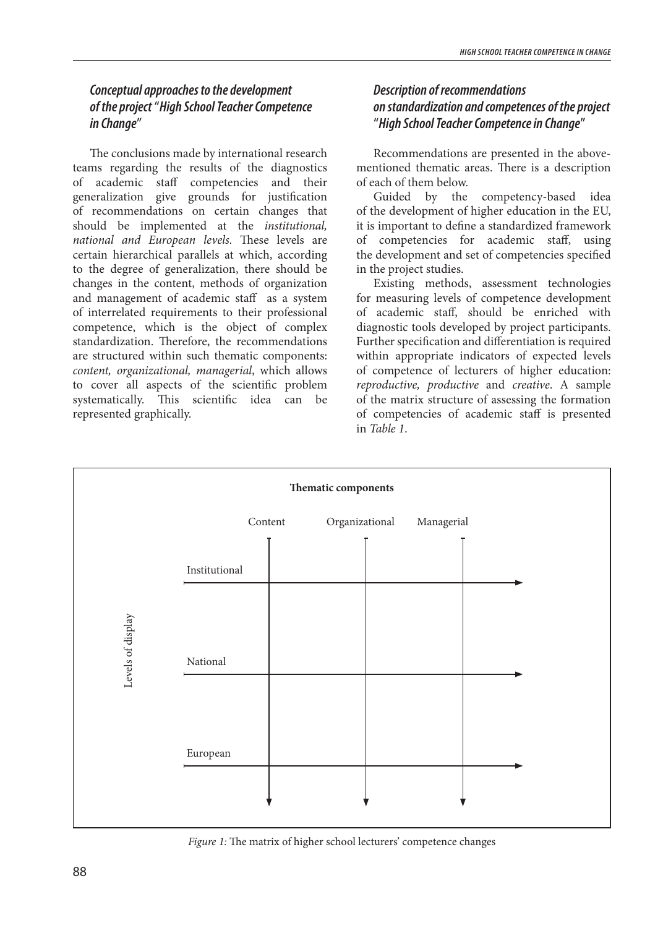# *Conceptual approaches to the development of the project* "*High School Teacher Competence in Change*"

The conclusions made by international research teams regarding the results of the diagnostics of academic staff competencies and their generalization give grounds for justification of recommendations on certain changes that should be implemented at the *institutional, national and European levels.* These levels are certain hierarchical parallels at which, according to the degree of generalization, there should be changes in the content, methods of organization and management of academic staff as a system of interrelated requirements to their professional competence, which is the object of complex standardization. Therefore, the recommendations are structured within such thematic components: *content, organizational, managerial*, which allows to cover all aspects of the scientific problem systematically. This scientific idea can be represented graphically.

## *Description of recommendations on standardization and competences of the project* "*High School Teacher Competence in Change*"

Recommendations are presented in the abovementioned thematic areas. There is a description of each of them below.

Guided by the competency-based idea of the development of higher education in the EU, it is important to define a standardized framework of competencies for academic staff, using the development and set of competencies specified in the project studies.

Existing methods, assessment technologies for measuring levels of competence development of academic staff, should be enriched with diagnostic tools developed by project participants. Further specification and differentiation is required within appropriate indicators of expected levels of competence of lecturers of higher education: *reproductive, productive* and *creative*. A sample of the matrix structure of assessing the formation of competencies of academic staff is presented in *Table 1*.



*Figure 1:* The matrix of higher school lecturers' competence changes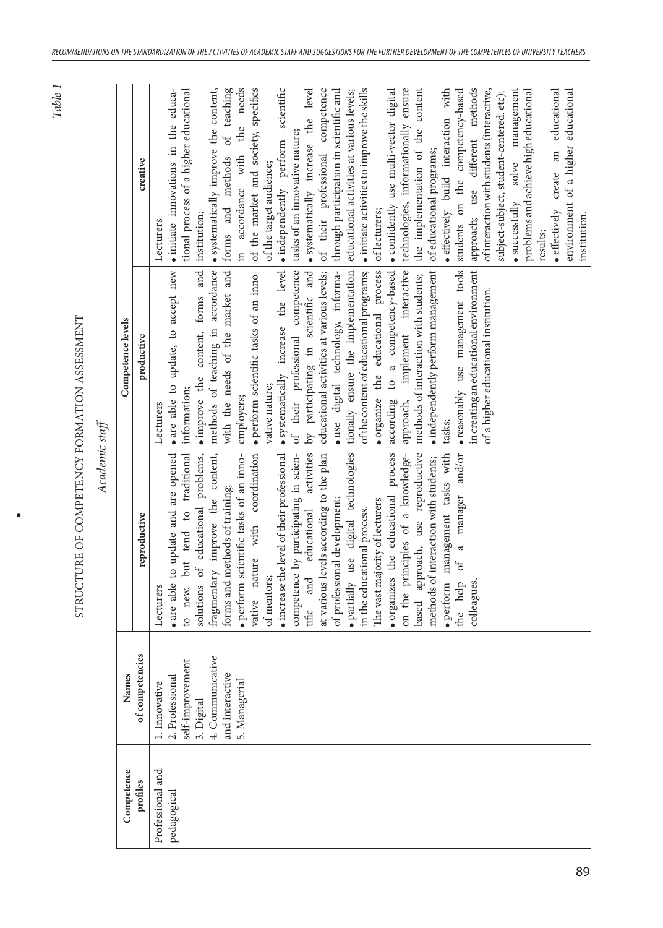*Table 1*

Ċ

| ì       |  |
|---------|--|
|         |  |
|         |  |
|         |  |
|         |  |
| à       |  |
|         |  |
|         |  |
|         |  |
|         |  |
|         |  |
| ¢<br>l, |  |
|         |  |
|         |  |

| Competence       | Names            |                                                                         | Competence levels                                                                |                                                     |
|------------------|------------------|-------------------------------------------------------------------------|----------------------------------------------------------------------------------|-----------------------------------------------------|
| profiles         | of competencies  | reproductive                                                            | productive                                                                       | creative                                            |
| Professional and | 1. Innovative    | Lecturers                                                               | Lecturers                                                                        | Lecturers                                           |
| pedagogical      | 2. Professional  | • are able to update and are opened                                     | • are able to update, to accept new $\bullet$ initiate innovations in the educa- |                                                     |
|                  | self-improvement | to new, but tend to traditional                                         | information;                                                                     | tional process of a higher educational              |
|                  | 3. Digital       | solutions of educational problems,                                      | • improve the content, forms and institution;                                    |                                                     |
|                  | 4. Communicative | fragmentary improve the content,                                        | methods of teaching in accordance                                                | • systematically improve the content,               |
|                  | and interactive  | forms and methods of training;                                          | with the needs of the market and                                                 | forms and methods of teaching                       |
|                  | 5. Managerial    | · perform scientific tasks of an inno-                                  | employers;                                                                       | in accordance with the needs                        |
|                  |                  | nature with coordination<br>vative                                      | · perform scientific tasks of an inno- of the market and society, specifics      |                                                     |
|                  |                  | of mentors;                                                             | vative nature;                                                                   | of the target audience;                             |
|                  |                  | $\bullet$ increase the level of their professional                      | • systematically increase the level • independently perform scientific           |                                                     |
|                  |                  | competence by participating in scien-                                   | of their professional competence                                                 | tasks of an innovative nature;                      |
|                  |                  | and educational activities<br>tific                                     | by participating in scientific and                                               | • systematically increase the level                 |
|                  |                  | at various levels according to the plan                                 | educational activities at various levels;                                        | of their professional competence                    |
|                  |                  | of professional development;                                            | · use digital technology, informa-                                               | through participation in scientific and             |
|                  |                  | · partially use digital technologies tionally ensure the implementation |                                                                                  | educational activities at various levels;           |
|                  |                  | in the educational process.                                             | of the content of educational programs;                                          | $\bullet$ initiate activities to improve the skills |
|                  |                  | The vast majority of lecturers                                          | organize the educational process                                                 | of lecturers;                                       |
|                  |                  | · organizes the educational process                                     | according to a competency-based                                                  | • confidently use multi-vector digital              |
|                  |                  | on the principles of a knowledge-                                       | approach, implement interactive technologies, informationally ensure             |                                                     |
|                  |                  | approach, use reproductive<br>based                                     | methods of interaction with students;                                            | the implementation of the content                   |
|                  |                  | methods of interaction with students;                                   | · independently perform management                                               | of educational programs;                            |
|                  |                  | · perform management tasks with                                         | tasks;                                                                           | • effectively build interaction with                |
|                  |                  | the help of a manager and/or                                            | · reasonably use management tools                                                | students on the competency-based                    |
|                  |                  | colleagues.                                                             | in creating an educational environment                                           | approach; use different methods                     |
|                  |                  |                                                                         | of a higher educational institution.                                             | of interaction with students (interactive,          |
|                  |                  |                                                                         |                                                                                  | subject-subject, student-centered. etc);            |
|                  |                  |                                                                         |                                                                                  | · successfully solve management                     |
|                  |                  |                                                                         |                                                                                  | problems and achieve high educational               |
|                  |                  |                                                                         |                                                                                  | results;                                            |
|                  |                  |                                                                         |                                                                                  | · effectively create an educational                 |
|                  |                  |                                                                         |                                                                                  | environment of a higher educational                 |
|                  |                  |                                                                         |                                                                                  | institution.                                        |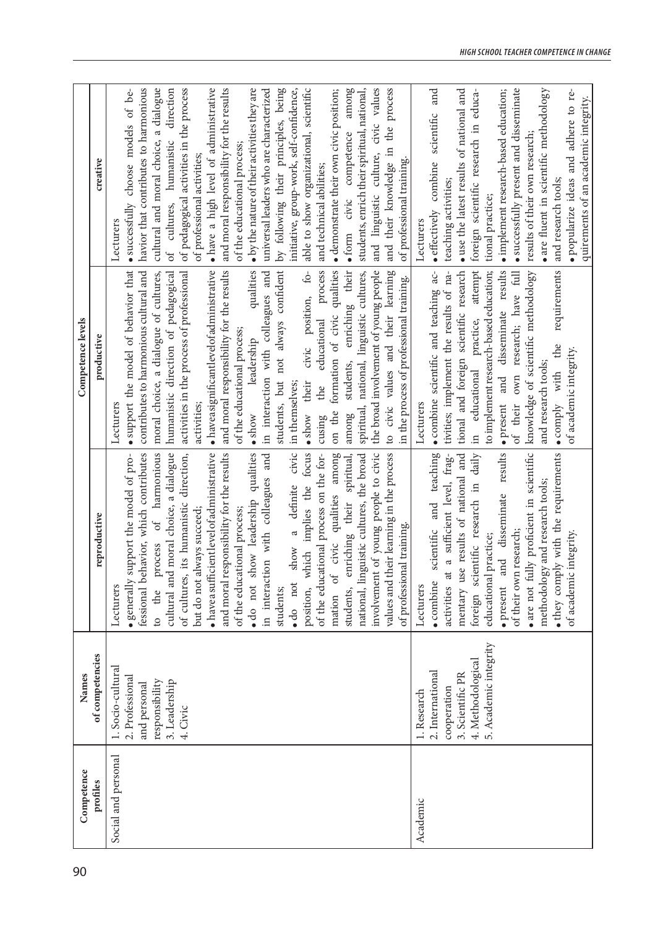| Competence          | Names                                                                                                            |                                                                                                                                                                                                                                                                                                                                                                                                                                                                                                                                                                                                                                                                                                                                                                                                                                                                            | Competence levels                                                                                                                                                                                                                                                                                                                                                                                                                                                                                                                                                                                                                                                                                                                                                                                                                                                                               |                                                                                                                                                                                                                                                                                                                                                                                                                                                                                                                                                                                                                                                                                                                                                                                                                                                                          |
|---------------------|------------------------------------------------------------------------------------------------------------------|----------------------------------------------------------------------------------------------------------------------------------------------------------------------------------------------------------------------------------------------------------------------------------------------------------------------------------------------------------------------------------------------------------------------------------------------------------------------------------------------------------------------------------------------------------------------------------------------------------------------------------------------------------------------------------------------------------------------------------------------------------------------------------------------------------------------------------------------------------------------------|-------------------------------------------------------------------------------------------------------------------------------------------------------------------------------------------------------------------------------------------------------------------------------------------------------------------------------------------------------------------------------------------------------------------------------------------------------------------------------------------------------------------------------------------------------------------------------------------------------------------------------------------------------------------------------------------------------------------------------------------------------------------------------------------------------------------------------------------------------------------------------------------------|--------------------------------------------------------------------------------------------------------------------------------------------------------------------------------------------------------------------------------------------------------------------------------------------------------------------------------------------------------------------------------------------------------------------------------------------------------------------------------------------------------------------------------------------------------------------------------------------------------------------------------------------------------------------------------------------------------------------------------------------------------------------------------------------------------------------------------------------------------------------------|
| profiles            | of competencies                                                                                                  | reproductive                                                                                                                                                                                                                                                                                                                                                                                                                                                                                                                                                                                                                                                                                                                                                                                                                                                               | productive                                                                                                                                                                                                                                                                                                                                                                                                                                                                                                                                                                                                                                                                                                                                                                                                                                                                                      | creative                                                                                                                                                                                                                                                                                                                                                                                                                                                                                                                                                                                                                                                                                                                                                                                                                                                                 |
| Social and personal | 1. Socio-cultural<br>2. Professional<br>responsibility<br>3. Leadership<br>and personal<br>4. Civic              | process of harmonious<br>involvement of young people to civic<br>fessional behavior, which contributes<br>and moral choice, a dialogue<br>civic<br>focus<br>values and their learning in the process<br>• generally support the model of pro-<br>· have a sufficient level of administrative<br>and moral responsibility for the results<br>qualities<br>qualities among<br>of cultures, its humanistic direction,<br>of the educational process on the for-<br>national, linguistic cultures, the broad<br>in interaction with colleagues and<br>enriching their spiritual,<br>definite<br>which implies the<br>· do not show leadership<br>of the educational process;<br>but do not always succeed;<br>$\approx$<br>of professional training.<br>of civic<br>show<br>$\bullet$ do not<br>students;<br>students,<br>position,<br>Lecture<br>to the<br>cultural<br>mation | • support the model of behavior that<br>contributes to harmonious cultural and<br>the broad involvement of young people<br>process<br>formation of civic qualities<br>students, enriching their<br>to civic values and their learning<br>activities in the process of professional<br>$\bullet$ haveasignificantlevel of administrative<br>and moral responsibility for the results<br>not always confident<br>moral choice, a dialogue of cultures,<br>humanistic direction of pedagogical<br>qualities<br>colleagues and<br>spiritual, national, linguistic cultures,<br>$\dot{\mathbb{G}}$<br>in the process of professional training.<br>civic position,<br>educational<br>of the educational process;<br>leadership<br>in interaction with<br>students, but<br>in themselves;<br>their<br>the<br>Lecturers<br>activities;<br>on the<br>among<br>$\bullet$ show<br>$\bullet$ show<br>cusing | · have a high level of administrative<br>able to show organizational, scientific<br>havior that contributes to harmonious<br>cultural and moral choice, a dialogue<br>of pedagogical activities in the process<br>and moral responsibility for the results<br>· by the nature of their activities they are<br>universal leaders who are characterized<br>by following their principles, being<br>initiative, group-work, self-confidence,<br>among<br>and linguistic culture, civic values<br>and their knowledge in the process<br>• successfully choose models of be-<br>direction<br>students, enrich their spiritual, national,<br>· demonstrate their own civic position;<br>· form civic competence<br>of cultures, humanistic<br>of the educational process;<br>of professional activities;<br>of professional training.<br>and technical abilities;<br>Lecturers |
| Academic            | 5. Academic integrity<br>4. Methodological<br>2. International<br>3. Scientific PR<br>cooperation<br>1. Research | • are not fully proficient in scientific<br>• they comply with the requirements<br>· combine scientific and teaching<br>mentary use results of national and<br>results<br>activities at a sufficient level, frag-<br>scientific research in daily<br>methodology and research tools;<br>· present and disseminate<br>of their own research;<br>of academic integrity.<br>educational practice;<br>Lecturers<br>foreign                                                                                                                                                                                                                                                                                                                                                                                                                                                     | to implement research-based education;<br>attempt<br>· present and disseminate results<br>requirements<br>· combine scientific and teaching ac-<br>tivities; implement the results of na-<br>tional and foreign scientific research<br>of their own research; have full<br>knowledge of scientific methodology<br>practice,<br>the<br>of academic integrity.<br>and research tools;<br>$\bullet$ comply with<br>educational<br>Lecturers<br>.<br>도                                                                                                                                                                                                                                                                                                                                                                                                                                              | and<br>· use the latest results of national and<br>• are fluent in scientific methodology<br>• successfully present and disseminate<br>·popularize ideas and adhere to re-<br>foreign scientific research in educa-<br>· implement research-based education;<br>quirements of an academic integrity.<br>scientific<br>results of their own research;<br>• effectively combine<br>and research tools;<br>teaching activities;<br>tional practice;<br>Lecturers                                                                                                                                                                                                                                                                                                                                                                                                            |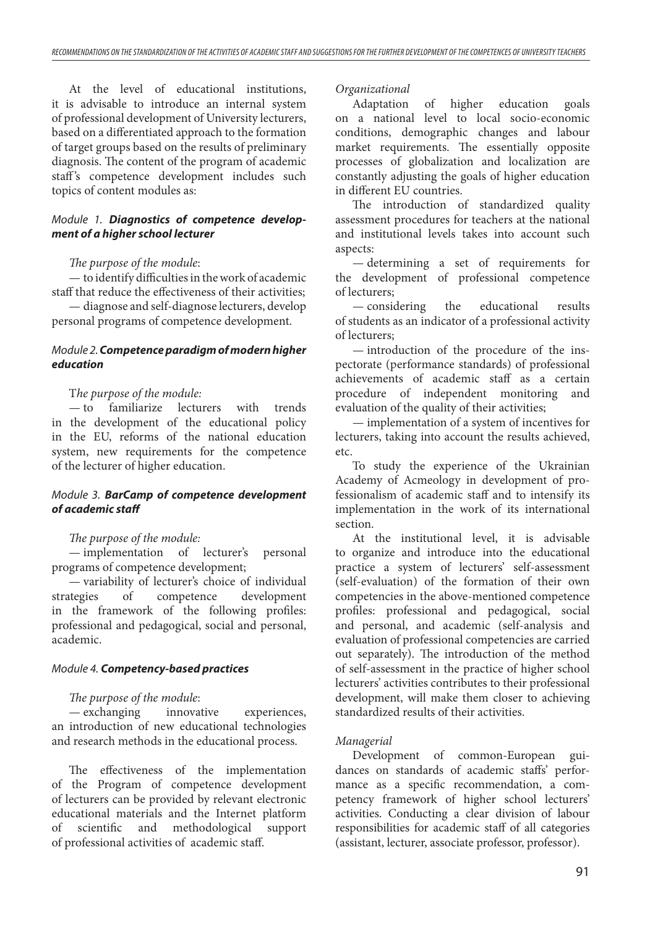At the level of educational institutions, it is advisable to introduce an internal system of professional development of University lecturers, based on a differentiated approach to the formation of target groups based on the results of preliminary diagnosis. The content of the program of academic staff's competence development includes such topics of content modules as:

## *Module 1. Diagnostics of competence development of a higher school lecturer*

## *The purpose of the module*:

— to identify difficulties in the work of academic staff that reduce the effectiveness of their activities;

— diagnose and self-diagnose lecturers, develop personal programs of competence development.

## *Module 2. Competence paradigm of modern higher education*

#### T*he purpose of the module:*

— to familiarize lecturers with trends in the development of the educational policy in the EU, reforms of the national education system, new requirements for the competence of the lecturer of higher education.

## *Module 3. BarCamp of competence development of academic staff*

## *The purpose of the module:*

— implementation of lecturer's personal programs of competence development;

— variability of lecturer's choice of individual strategies of competence development in the framework of the following profiles: professional and pedagogical, social and personal, academic.

#### *Module 4. Competency-based practices*

## *The purpose of the module*:

— exchanging innovative experiences, an introduction of new educational technologies and research methods in the educational process.

The effectiveness of the implementation of the Program of competence development of lecturers can be provided by relevant electronic educational materials and the Internet platform of scientific and methodological support of professional activities of academic staff.

#### *Organizational*

Adaptation of higher education goals on a national level to local socio-economic conditions, demographic changes and labour market requirements. The essentially opposite processes of globalization and localization are constantly adjusting the goals of higher education in different EU countries.

The introduction of standardized quality assessment procedures for teachers at the national and institutional levels takes into account such aspects:

— determining a set of requirements for the development of professional competence of lecturers;

— considering the educational results of students as an indicator of a professional activity of lecturers;

— introduction of the procedure of the inspectorate (performance standards) of professional achievements of academic staff as a certain procedure of independent monitoring and evaluation of the quality of their activities;

— implementation of a system of incentives for lecturers, taking into account the results achieved, etc.

To study the experience of the Ukrainian Academy of Acmeology in development of professionalism of academic staff and to intensify its implementation in the work of its international section.

At the institutional level, it is advisable to organize and introduce into the educational practice a system of lecturers' self-assessment (self-evaluation) of the formation of their own competencies in the above-mentioned competence profiles: professional and pedagogical, social and personal, and academic (self-analysis and evaluation of professional competencies are carried out separately). The introduction of the method of self-assessment in the practice of higher school lecturers' activities contributes to their professional development, will make them closer to achieving standardized results of their activities.

## *Managerial*

Development of common-European guidances on standards of academic staffs' performance as a specific recommendation, a competency framework of higher school lecturers' activities. Conducting a clear division of labour responsibilities for academic staff of all categories (assistant, lecturer, associate professor, professor).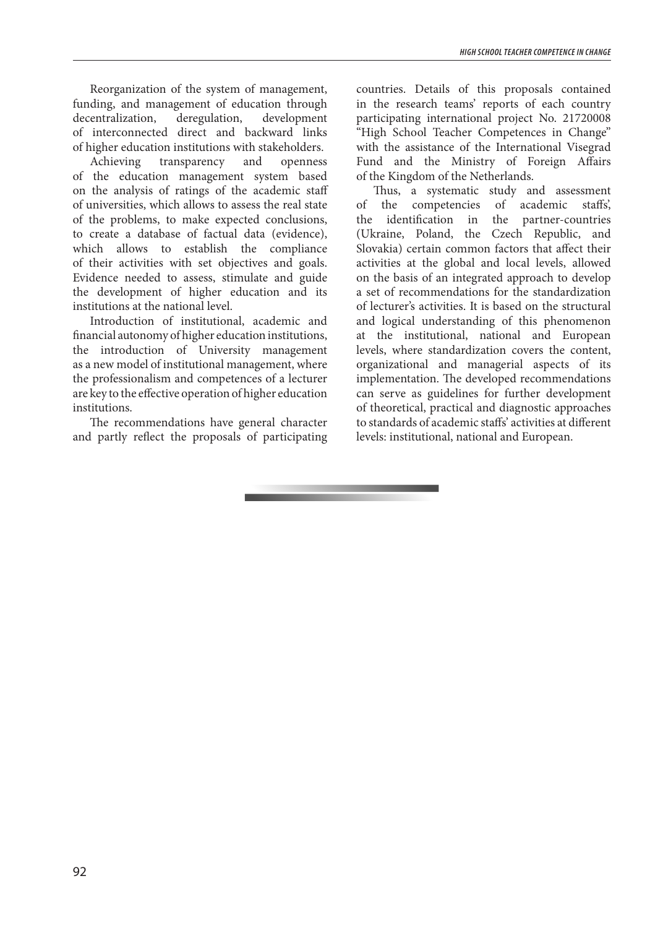Reorganization of the system of management, funding, and management of education through decentralization, deregulation, development of interconnected direct and backward links of higher education institutions with stakeholders.

Achieving transparency and openness of the education management system based on the analysis of ratings of the academic staff of universities, which allows to assess the real state of the problems, to make expected conclusions, to create a database of factual data (evidence), which allows to establish the compliance of their activities with set objectives and goals. Evidence needed to assess, stimulate and guide the development of higher education and its institutions at the national level.

Introduction of institutional, academic and financial autonomy of higher education institutions, the introduction of University management as a new model of institutional management, where the professionalism and competences of a lecturer are key to the effective operation of higher education institutions.

The recommendations have general character and partly reflect the proposals of participating countries. Details of this proposals contained in the research teams' reports of each country participating international project No. 21720008 "High School Teacher Competences in Change" with the assistance of the International Visegrad Fund and the Ministry of Foreign Affairs of the Kingdom of the Netherlands.

Thus, a systematic study and assessment of the competencies of academic staffs', the identification in the partner-countries (Ukraine, Poland, the Czech Republic, and Slovakia) certain common factors that affect their activities at the global and local levels, allowed on the basis of an integrated approach to develop a set of recommendations for the standardization of lecturer's activities. It is based on the structural and logical understanding of this phenomenon at the institutional, national and European levels, where standardization covers the content, organizational and managerial aspects of its implementation. The developed recommendations can serve as guidelines for further development of theoretical, practical and diagnostic approaches to standards of academic staffs' activities at different levels: institutional, national and European.